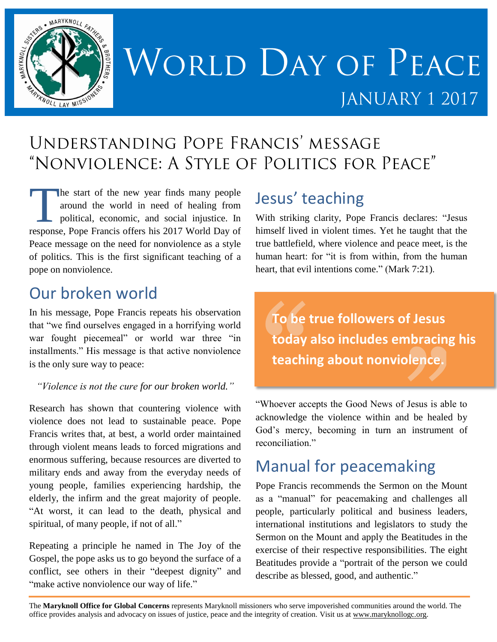

# WORLD DAY OF PEACE JANUARY 1 2017

# UNDERSTANDING POPE FRANCIS' MESSAGE "NONVIOLENCE: A STYLE OF POLITICS FOR PEACE"

he start of the new year finds many people around the world in need of healing from political, economic, and social injustice. In response, Pope Francis offers his 2017 World Day of Peace message on the need for nonviolence as a style of politics. This is the first significant teaching of a pope on nonviolence. Technology

### Our broken world

In his message, Pope Francis repeats his observation that "we find ourselves engaged in a horrifying world war fought piecemeal" or world war three "in installments." His message is that active nonviolence is the only sure way to peace:

#### *"Violence is not the cure for our broken world."*

Research has shown that countering violence with violence does not lead to sustainable peace. Pope Francis writes that, at best, a world order maintained through violent means leads to forced migrations and enormous suffering, because resources are diverted to military ends and away from the everyday needs of young people, families experiencing hardship, the elderly, the infirm and the great majority of people. "At worst, it can lead to the death, physical and spiritual, of many people, if not of all."

Repeating a principle he named in The Joy of the Gospel, the pope asks us to go beyond the surface of a conflict, see others in their "deepest dignity" and "make active nonviolence our way of life."

# Jesus' teaching

With striking clarity, Pope Francis declares: "Jesus himself lived in violent times. Yet he taught that the true battlefield, where violence and peace meet, is the human heart: for "it is from within, from the human heart, that evil intentions come." (Mark 7:21).

**To be true followers of Jesus today also includes embracing his teaching about nonviolence.**

"Whoever accepts the Good News of Jesus is able to acknowledge the violence within and be healed by God's mercy, becoming in turn an instrument of reconciliation."

#### Manual for peacemaking

Pope Francis recommends the Sermon on the Mount as a "manual" for peacemaking and challenges all people, particularly political and business leaders, international institutions and legislators to study the Sermon on the Mount and apply the Beatitudes in the exercise of their respective responsibilities. The eight Beatitudes provide a "portrait of the person we could describe as blessed, good, and authentic."

The **Maryknoll Office for Global Concerns** represents Maryknoll missioners who serve impoverished communities around the world. The office provides analysis and advocacy on issues of justice, peace and the integrity of creation. Visit us at [www.maryknollogc.org.](http://www.maryknollogc.org/)